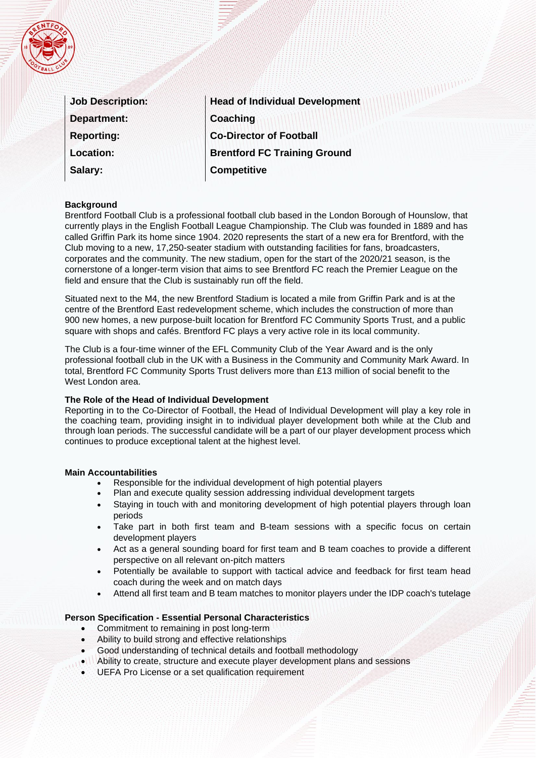|  |        | 29 |  |
|--|--------|----|--|
|  |        |    |  |
|  |        |    |  |
|  |        |    |  |
|  |        |    |  |
|  | 8<br>A |    |  |

| <b>Job Description:</b> |
|-------------------------|
| <b>Department:</b>      |
| <b>Reporting:</b>       |
| <b>Location:</b>        |
| Salary:                 |

**Head of Individual Development Coaching Co-Director of Football Brentford FC Training Ground Competitive**

# **Background**

Brentford Football Club is a professional football club based in the London Borough of Hounslow, that currently plays in the English Football League Championship. The Club was founded in 1889 and has called Griffin Park its home since 1904. 2020 represents the start of a new era for Brentford, with the Club moving to a new, 17,250-seater stadium with outstanding facilities for fans, broadcasters, corporates and the community. The new stadium, open for the start of the 2020/21 season, is the cornerstone of a longer-term vision that aims to see Brentford FC reach the Premier League on the field and ensure that the Club is sustainably run off the field.

Situated next to the M4, the new Brentford Stadium is located a mile from Griffin Park and is at the centre of the Brentford East redevelopment scheme, which includes the construction of more than 900 new homes, a new purpose-built location for Brentford FC Community Sports Trust, and a public square with shops and cafés. Brentford FC plays a very active role in its local community.

The Club is a four-time winner of the EFL Community Club of the Year Award and is the only professional football club in the UK with a Business in the Community and Community Mark Award. In total, Brentford FC Community Sports Trust delivers more than £13 million of social benefit to the West London area.

### **The Role of the Head of Individual Development**

Reporting in to the Co-Director of Football, the Head of Individual Development will play a key role in the coaching team, providing insight in to individual player development both while at the Club and through loan periods. The successful candidate will be a part of our player development process which continues to produce exceptional talent at the highest level.

#### **Main Accountabilities**

- Responsible for the individual development of high potential players
- Plan and execute quality session addressing individual development targets
- Staying in touch with and monitoring development of high potential players through loan periods
- Take part in both first team and B-team sessions with a specific focus on certain development players
- Act as a general sounding board for first team and B team coaches to provide a different perspective on all relevant on-pitch matters
- Potentially be available to support with tactical advice and feedback for first team head coach during the week and on match days
- Attend all first team and B team matches to monitor players under the IDP coach's tutelage

# **Person Specification - Essential Personal Characteristics**

- Commitment to remaining in post long-term
- Ability to build strong and effective relationships
- Good understanding of technical details and football methodology
- Ability to create, structure and execute player development plans and sessions
- UEFA Pro License or a set qualification requirement